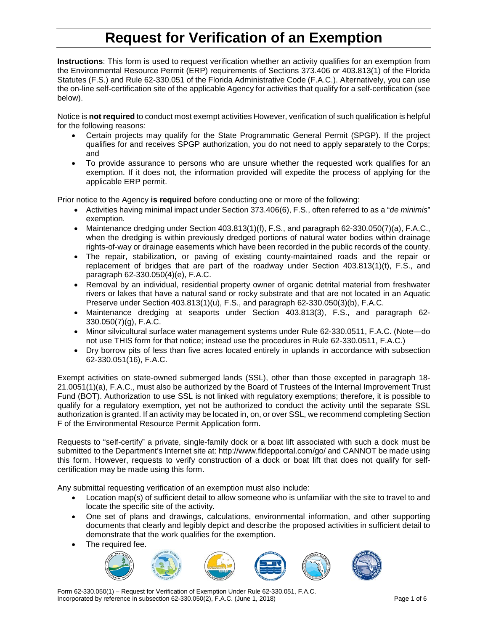# **Request for Verification of an Exemption**

**Instructions**: This form is used to request verification whether an activity qualifies for an exemption from the Environmental Resource Permit (ERP) requirements of Sections 373.406 or 403.813(1) of the Florida Statutes (F.S.) and Rule 62-330.051 of the Florida Administrative Code (F.A.C.). Alternatively, you can use the on-line self-certification site of the applicable Agency for activities that qualify for a self-certification (see below).

Notice is **not required** to conduct most exempt activities However, verification of such qualification is helpful for the following reasons:

- Certain projects may qualify for the State Programmatic General Permit (SPGP). If the project qualifies for and receives SPGP authorization, you do not need to apply separately to the Corps; and
- To provide assurance to persons who are unsure whether the requested work qualifies for an exemption. If it does not, the information provided will expedite the process of applying for the applicable ERP permit.

Prior notice to the Agency **is required** before conducting one or more of the following:

- Activities having minimal impact under Section 373.406(6), F.S., often referred to as a "*de minimis*" exemption*.*
- Maintenance dredging under Section  $403.813(1)(f)$ , F.S., and paragraph  $62-330.050(7)(a)$ , F.A.C., when the dredging is within previously dredged portions of natural water bodies within drainage rights-of-way or drainage easements which have been recorded in the public records of the county.
- The repair, stabilization, or paving of existing county-maintained roads and the repair or replacement of bridges that are part of the roadway under Section 403.813(1)(t), F.S., and paragraph 62-330.050(4)(e), F.A.C.
- Removal by an individual, residential property owner of organic detrital material from freshwater rivers or lakes that have a natural sand or rocky substrate and that are not located in an Aquatic Preserve under Section  $403.813(1)(u)$ , F.S., and paragraph  $62-330.050(3)(b)$ , F.A.C.
- Maintenance dredging at seaports under Section 403.813(3), F.S., and paragraph 62- 330.050(7)(g), F.A.C.
- Minor silvicultural surface water management systems under Rule 62-330.0511, F.A.C. (Note—do not use THIS form for that notice; instead use the procedures in Rule 62-330.0511, F.A.C.)
- Dry borrow pits of less than five acres located entirely in uplands in accordance with subsection 62-330.051(16), F.A.C.

Exempt activities on state-owned submerged lands (SSL), other than those excepted in paragraph 18- 21.0051(1)(a), F.A.C., must also be authorized by the Board of Trustees of the Internal Improvement Trust Fund (BOT). Authorization to use SSL is not linked with regulatory exemptions; therefore, it is possible to qualify for a regulatory exemption, yet not be authorized to conduct the activity until the separate SSL authorization is granted. If an activity may be located in, on, or over SSL, we recommend completing Section F of the Environmental Resource Permit Application form.

Requests to "self-certify" a private, single-family dock or a boat lift associated with such a dock must be submitted to the Department's Internet site at: http://www.fldepportal.com/go/ and CANNOT be made using this form. However, requests to verify construction of a dock or boat lift that does not qualify for selfcertification may be made using this form.

Any submittal requesting verification of an exemption must also include:

- Location map(s) of sufficient detail to allow someone who is unfamiliar with the site to travel to and locate the specific site of the activity.
- One set of plans and drawings, calculations, environmental information, and other supporting documents that clearly and legibly depict and describe the proposed activities in sufficient detail to demonstrate that the work qualifies for the exemption.
- The required fee.



Form 62-330.050(1) – Request for Verification of Exemption Under Rule 62-330.051, F.A.C. Incorporated by reference in subsection 62-330.050(2), F.A.C. (June 1, 2018) Page 1 of 6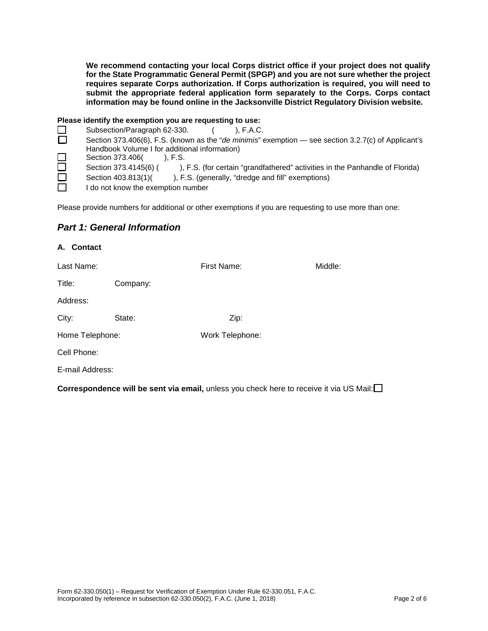**We recommend contacting your local Corps district office if your project does not qualify for the State Programmatic General Permit (SPGP) and you are not sure whether the project requires separate Corps authorization. If Corps authorization is required, you will need to submit the appropriate federal application form separately to the Corps. Corps contact information may be found online in the Jacksonville District Regulatory Division website.** 

#### **Please identify the exemption you are requesting to use:**

|              | Subsection/Paragraph 62-330.<br>). F.A.C.                                                             |
|--------------|-------------------------------------------------------------------------------------------------------|
| □            | Section 373.406(6), F.S. (known as the "de minimis" exemption — see section 3.2.7(c) of Applicant's   |
|              | Handbook Volume I for additional information)                                                         |
| $\Box$       | Section 373.406(<br>). F.S.                                                                           |
| $\Box$       | Section 373.4145(6) (<br>), F.S. (for certain "grandfathered" activities in the Panhandle of Florida) |
| $\Box$       | Section 403.813(1)(<br>), F.S. (generally, "dredge and fill" exemptions)                              |
| $\mathbf{L}$ | I do not know the exemption number                                                                    |
|              |                                                                                                       |

Please provide numbers for additional or other exemptions if you are requesting to use more than one:

### *Part 1: General Information*

| A. Contact      |          |                 |         |  |  |
|-----------------|----------|-----------------|---------|--|--|
| Last Name:      |          | First Name:     | Middle: |  |  |
| Title:          | Company: |                 |         |  |  |
| Address:        |          |                 |         |  |  |
| City:           | State:   | Zip:            |         |  |  |
| Home Telephone: |          | Work Telephone: |         |  |  |
| Cell Phone:     |          |                 |         |  |  |
| E-mail Address: |          |                 |         |  |  |
|                 |          |                 |         |  |  |

**Correspondence will be sent via email,** unless you check here to receive it via US Mail: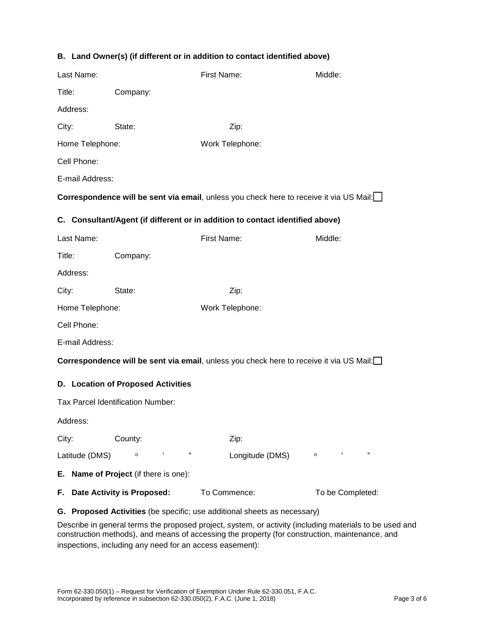|  |  |  |  | B. Land Owner(s) (if different or in addition to contact identified above) |  |
|--|--|--|--|----------------------------------------------------------------------------|--|
|--|--|--|--|----------------------------------------------------------------------------|--|

| Last Name:                                                                              |                               | First Name:                                                                                     | Middle:             |  |  |  |
|-----------------------------------------------------------------------------------------|-------------------------------|-------------------------------------------------------------------------------------------------|---------------------|--|--|--|
|                                                                                         |                               |                                                                                                 |                     |  |  |  |
| Title:                                                                                  | Company:                      |                                                                                                 |                     |  |  |  |
| Address:                                                                                |                               |                                                                                                 |                     |  |  |  |
| City:                                                                                   | State:                        | Zip:                                                                                            |                     |  |  |  |
| Home Telephone:                                                                         |                               | Work Telephone:                                                                                 |                     |  |  |  |
| Cell Phone:                                                                             |                               |                                                                                                 |                     |  |  |  |
| E-mail Address:                                                                         |                               |                                                                                                 |                     |  |  |  |
|                                                                                         |                               | <b>Correspondence will be sent via email</b> , unless you check here to receive it via US Mail: |                     |  |  |  |
| C. Consultant/Agent (if different or in addition to contact identified above)           |                               |                                                                                                 |                     |  |  |  |
| Last Name:                                                                              |                               | First Name:                                                                                     | Middle:             |  |  |  |
| Title:                                                                                  | Company:                      |                                                                                                 |                     |  |  |  |
| Address:                                                                                |                               |                                                                                                 |                     |  |  |  |
| City:                                                                                   | State:                        | Zip:                                                                                            |                     |  |  |  |
| Home Telephone:                                                                         |                               | Work Telephone:                                                                                 |                     |  |  |  |
| Cell Phone:                                                                             |                               |                                                                                                 |                     |  |  |  |
| E-mail Address:                                                                         |                               |                                                                                                 |                     |  |  |  |
| Correspondence will be sent via email, unless you check here to receive it via US Mail: |                               |                                                                                                 |                     |  |  |  |
| D. Location of Proposed Activities                                                      |                               |                                                                                                 |                     |  |  |  |
| Tax Parcel Identification Number:                                                       |                               |                                                                                                 |                     |  |  |  |
| Address:                                                                                |                               |                                                                                                 |                     |  |  |  |
| City:                                                                                   | County:                       | Zip:                                                                                            |                     |  |  |  |
| Latitude (DMS)                                                                          | ,<br>,,<br>$\circ$            | Longitude (DMS) o                                                                               | $\pmb{\cdot}$<br>,, |  |  |  |
| E. Name of Project (if there is one):                                                   |                               |                                                                                                 |                     |  |  |  |
|                                                                                         | F. Date Activity is Proposed: | To Commence:                                                                                    | To be Completed:    |  |  |  |
| G. Proposed Activities (be specific; use additional sheets as necessary)                |                               |                                                                                                 |                     |  |  |  |

Describe in general terms the proposed project, system, or activity (including materials to be used and construction methods), and means of accessing the property (for construction, maintenance, and inspections, including any need for an access easement):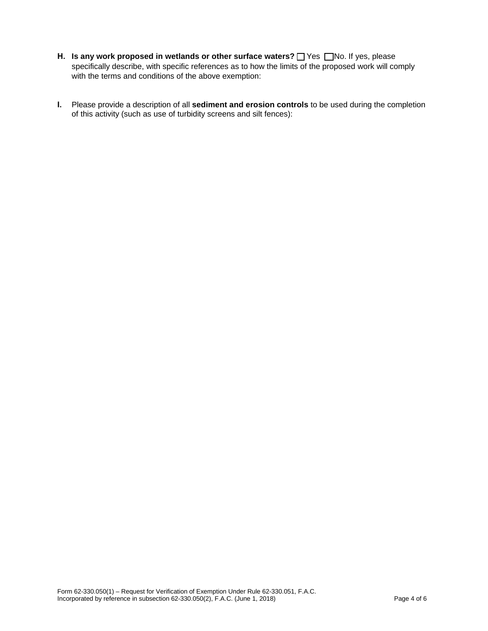- **H. Is any work proposed in wetlands or other surface waters?**  $\Box$  **Yes**  $\Box$  **No. If yes, please** specifically describe, with specific references as to how the limits of the proposed work will comply with the terms and conditions of the above exemption:
- **I.** Please provide a description of all **sediment and erosion controls** to be used during the completion of this activity (such as use of turbidity screens and silt fences):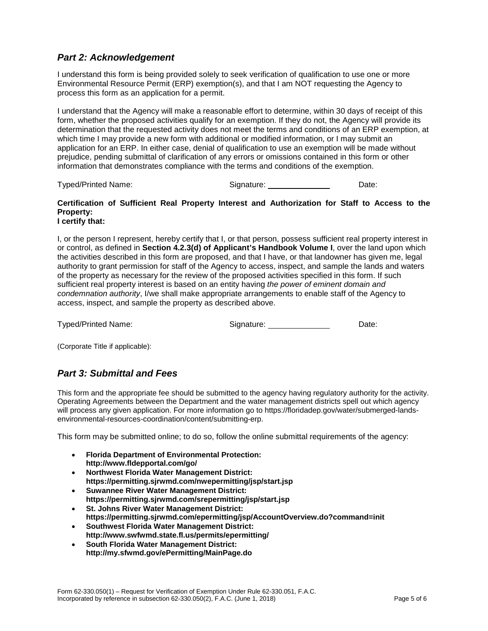## *Part 2: Acknowledgement*

I understand this form is being provided solely to seek verification of qualification to use one or more Environmental Resource Permit (ERP) exemption(s), and that I am NOT requesting the Agency to process this form as an application for a permit.

I understand that the Agency will make a reasonable effort to determine, within 30 days of receipt of this form, whether the proposed activities qualify for an exemption. If they do not, the Agency will provide its determination that the requested activity does not meet the terms and conditions of an ERP exemption, at which time I may provide a new form with additional or modified information, or I may submit an application for an ERP. In either case, denial of qualification to use an exemption will be made without prejudice, pending submittal of clarification of any errors or omissions contained in this form or other information that demonstrates compliance with the terms and conditions of the exemption.

Typed/Printed Name: Signature: Date:

#### **Certification of Sufficient Real Property Interest and Authorization for Staff to Access to the Property: I certify that:**

I, or the person I represent, hereby certify that I, or that person, possess sufficient real property interest in or control, as defined in **Section 4.2.3(d) of Applicant's Handbook Volume I**, over the land upon which the activities described in this form are proposed, and that I have, or that landowner has given me, legal authority to grant permission for staff of the Agency to access, inspect, and sample the lands and waters of the property as necessary for the review of the proposed activities specified in this form. If such sufficient real property interest is based on an entity having *the power of eminent domain and condemnation authority*, I/we shall make appropriate arrangements to enable staff of the Agency to access, inspect, and sample the property as described above.

Typed/Printed Name: Signature: Date:

(Corporate Title if applicable):

## *Part 3: Submittal and Fees*

This form and the appropriate fee should be submitted to the agency having regulatory authority for the activity. Operating Agreements between the Department and the water management districts spell out which agency will process any given application. For more information go to https://floridadep.gov/water/submerged-landsenvironmental-resources-coordination/content/submitting-erp.

This form may be submitted online; to do so, follow the online submittal requirements of the agency:

- **Florida Department of Environmental Protection: http://www.fldepportal.com/go/**
- **Northwest Florida Water Management District: https://permitting.sjrwmd.com/nwepermitting/jsp/start.jsp**
- **Suwannee River Water Management District: https://permitting.sjrwmd.com/srepermitting/jsp/start.jsp**
- **St. Johns River Water Management District: https://permitting.sjrwmd.com/epermitting/jsp/AccountOverview.do?command=init**
- **Southwest Florida Water Management District: http://www.swfwmd.state.fl.us/permits/epermitting/**
- **South Florida Water Management District: http://my.sfwmd.gov/ePermitting/MainPage.do**